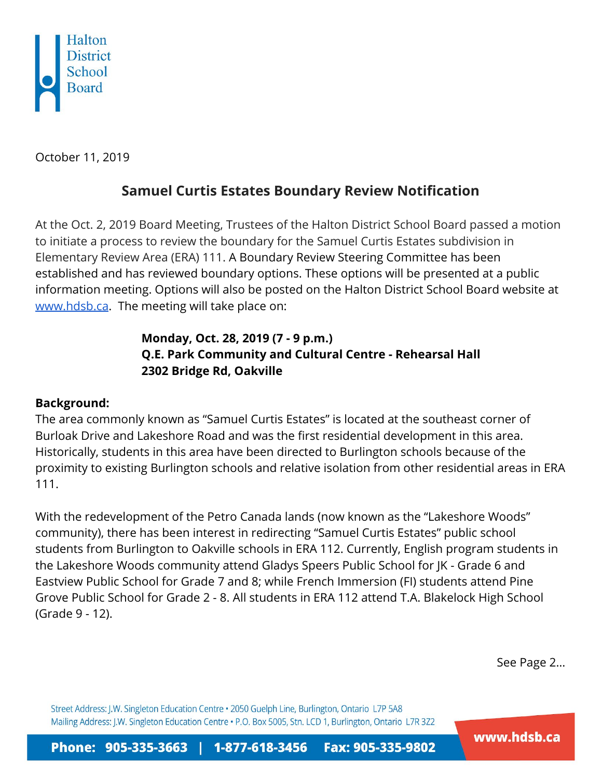

October 11, 2019

## **Samuel Curtis Estates Boundary Review Notification**

At the Oct. 2, 2019 Board Meeting, Trustees of the Halton District School Board passed a motion to initiate a process to review the boundary for the Samuel Curtis Estates subdivision in Elementary Review Area (ERA) 111. A Boundary Review Steering Committee has been established and has reviewed boundary options. These options will be presented at a public information meeting. Options will also be posted on the Halton District School Board website at [www.hdsb.ca](http://www.hdsb.ca/). The meeting will take place on:

## **Monday, Oct. 28, 2019 (7 - 9 p.m.) Q.E. Park Community and Cultural Centre - Rehearsal Hall 2302 Bridge Rd, Oakville**

## **Background:**

The area commonly known as "Samuel Curtis Estates" is located at the southeast corner of Burloak Drive and Lakeshore Road and was the first residential development in this area. Historically, students in this area have been directed to Burlington schools because of the proximity to existing Burlington schools and relative isolation from other residential areas in ERA 111.

With the redevelopment of the Petro Canada lands (now known as the "Lakeshore Woods" community), there has been interest in redirecting "Samuel Curtis Estates" public school students from Burlington to Oakville schools in ERA 112. Currently, English program students in the Lakeshore Woods community attend Gladys Speers Public School for JK - Grade 6 and Eastview Public School for Grade 7 and 8; while French Immersion (FI) students attend Pine Grove Public School for Grade 2 - 8. All students in ERA 112 attend T.A. Blakelock High School (Grade 9 - 12).

See Page 2…

Street Address: J.W. Singleton Education Centre . 2050 Guelph Line, Burlington, Ontario L7P 5A8 Mailing Address: J.W. Singleton Education Centre . P.O. Box 5005, Stn. LCD 1, Burlington, Ontario L7R 3Z2

www.hdsb.ca